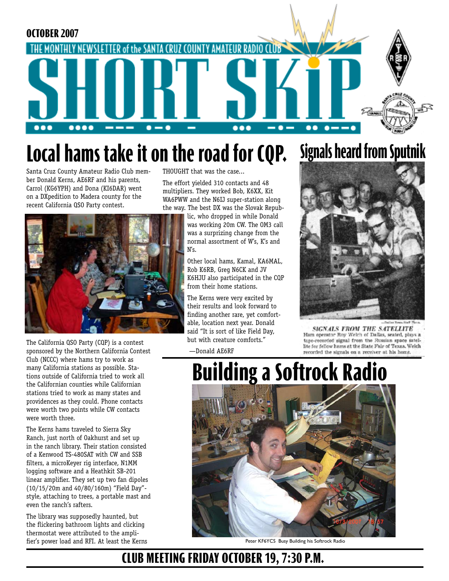

## **Local hams take it on the road for CQP. Signals heard from Sputnik**

Santa Cruz County Amateur Radio Club member Donald Kerns, AE6RF and his parents, Carrol (KG6YPH) and Dona (KI6DAR) went on a DXpedition to Madera county for the recent California QSO Party contest.

THOUGHT that was the case...

The effort yielded 310 contacts and 48 multipliers. They worked Bob, K6XX, Kit WA6PWW and the N6IJ super-station along the way. The best DX was the Slovak Repub-



The California QSO Party (CQP) is a contest sponsored by the Northern California Contest Club (NCCC) where hams try to work as many California stations as possible. Stations outside of California tried to work all the Californian counties while Californian stations tried to work as many states and providences as they could. Phone contacts were worth two points while CW contacts were worth three.

The Kerns hams traveled to Sierra Sky Ranch, just north of Oakhurst and set up in the ranch library. Their station consisted of a Kenwood TS-480SAT with CW and SSB filters, a microKeyer rig interface, N1MM logging software and a Heathkit SB-201 linear amplifier. They set up two fan dipoles (10/15/20m and 40/80/160m) "Field Day" style, attaching to trees, a portable mast and even the ranch's rafters.

The library was supposedly haunted, but the flickering bathroom lights and clicking thermostat were attributed to the amplifier's power load and RFI. At least the Kerns lic, who dropped in while Donald was working 20m CW. The OM3 call was a surprizing change from the normal assortment of W's, K's and N's.

Other local hams, Kamal, KA6MAL, Rob K6RB, Greg N6CK and JV K6HJU also participated in the CQP from their home stations.

The Kerns were very excited by their results and look forward to finding another rare, yet comfortable, location next year. Donald said "It is sort of like Field Day, but with creature comforts."

—Donald AE6RF



**SIGNALS FROM THE SATELLITE** Ham operator Roy Welch of Dallas, seated, plays a tape-recorded signal from the Russian space satellite for fellow hams at the State Fair of Texas. Welch recorded the signals on a receiver at his home.

# **Building a Softrock Radio**



Peter KF6YCS Busy Building his Softrock Radio

### **CLUB MEETING FRIDAY OCTOBER 19, 7:30 P.M.**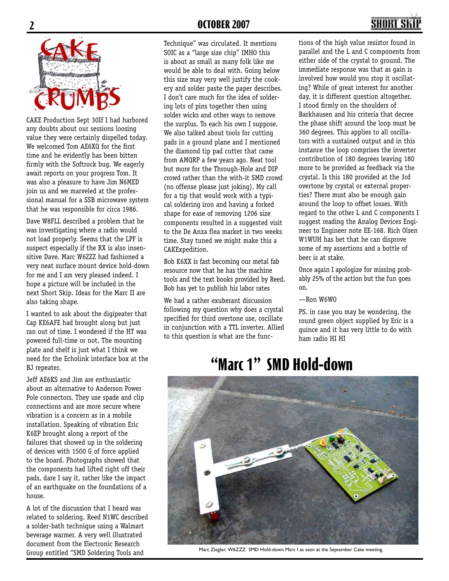

CAKE Production Sept 30If I had harbored any doubts about our sessions loosing value they were certainly dispelled today. We welcomed Tom AE6XQ for the first time and he evidently has been bitten firmly with the Softrock bug. We eagerly await reports on your progress Tom. It was also a pleasure to have Jim N6MED join us and we marveled at the professional manual for a SSB microwave system that he was responsible for circa 1986.

Dave W8FLL described a problem that he was investigating where a radio would not load properly. Seems that the LPF is suspect especially if the RX is also insensitive Dave. Marc W6ZZZ had fashioned a very neat surface mount device hold-down for me and I am very pleased indeed. I hope a picture will be included in the next Short Skip. Ideas for the Marc II are also taking shape.

I wanted to ask about the digipeater that Cap KE6AFE had brought along but just ran out of time. I wondered if the HT was powered full-time or not. The mounting plate and shelf is just what I think we need for the Echolink interface box at the BJ repeater.

Jeff AE6KS and Jim are enthusiastic about an alternative to Anderson Power Pole connectors. They use spade and clip connections and are more secure where vibration is a concern as in a mobile installation. Speaking of vibration Eric K6EP brought along a report of the failures that showed up in the soldering of devices with 1500 G of force applied to the board. Photographs showed that the components had lifted right off their pads, dare I say it, rather like the impact of an earthquake on the foundations of a house.

A lot of the discussion that I heard was related to soldering. Reed N1WC described a solder-bath technique using a Walmart beverage warmer. A very well illustrated document from the Electronic Research Group entitled "SMD Soldering Tools and

Technique" was circulated. It mentions SOIC as a "large size chip" IMHO this is about as small as many folk like me would be able to deal with. Going below this size may very well justify the cookery and solder paste the paper describes. I don't care much for the idea of soldering lots of pins together then using solder wicks and other ways to remove the surplus. To each his own I suppose. We also talked about tools for cutting pads in a ground plane and I mentioned the diamond tip pad cutter that came from AMQRP a few years ago. Neat tool but more for the Through-Hole and DIP crowd rather than the with-it SMD crowd (no offense please just joking). My call for a tip that would work with a typical soldering iron and having a forked shape for ease of removing 1206 size components resulted in a suggested visit to the De Anza flea market in two weeks time. Stay tuned we might make this a CAKExpedition.

Bob K6XX is fast becoming our metal fab resource now that he has the machine tools and the text books provided by Reed. Bob has yet to publish his labor rates

We had a rather exuberant discussion following my question why does a crystal specified for third overtone use, oscillate in conjunction with a TTL inverter. Allied to this question is what are the func-

SHART S tions of the high value resistor found in

parallel and the L and C components from either side of the crystal to ground. The immediate response was that as gain is involved how would you stop it oscillating? While of great interest for another day, it is different question altogether. I stood firmly on the shoulders of Barkhausen and his criteria that decree the phase shift around the loop must be 360 degrees. This applies to all oscillators with a sustained output and in this instance the loop comprises the inverter contribution of 180 degrees leaving 180 more to be provided as feedback via the crystal. Is this 180 provided at the 3rd overtone by crystal or external properties? There must also be enough gain around the loop to offset losses. With regard to the other L and C components I suggest reading the Analog Devices Engineer to Engineer note EE-168. Rich Olsen W1WUH has bet that he can disprove some of my assertions and a bottle of beer is at stake.

Once again I apologize for missing probably 25% of the action but the fun goes on.

#### —Ron W6WO

PS. in case you may be wondering, the round green object supplied by Eric is a quince and it has very little to do with ham radio HI HI

## **"Marc 1" SMD Hold-down**



Marc Ziegler, W6ZZZ SMD Hold-down Marc I as seen at the September Cake meeting.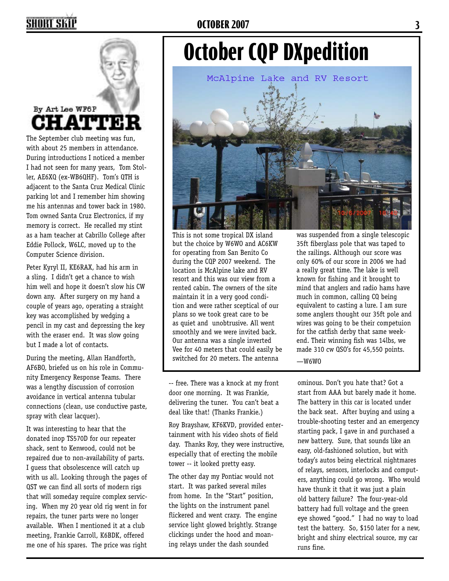### **SHORT SKIP**

#### **OCTOBER 2007 3**

## **October CQP DXpedition** McAlpine Lake and RV Resort

### By Art Lee WF6P **LATTE!**

The September club meeting was fun, with about 25 members in attendance. During introductions I noticed a member I had not seen for many years, Tom Stoller, AE6XQ (ex-WB6QHF). Tom's QTH is adjacent to the Santa Cruz Medical Clinic parking lot and I remember him showing me his antennas and tower back in 1980. Tom owned Santa Cruz Electronics, if my memory is correct. He recalled my stint as a ham teacher at Cabrillo College after Eddie Pollock, W6LC, moved up to the Computer Science division.

Peter Kyryl II, KE6RAX, had his arm in a sling. I didn't get a chance to wish him well and hope it doesn't slow his CW down any. After surgery on my hand a couple of years ago, operating a straight key was accomplished by wedging a pencil in my cast and depressing the key with the eraser end. It was slow going but I made a lot of contacts.

During the meeting, Allan Handforth, AF6BO, briefed us on his role in Community Emergency Response Teams. There was a lengthy discussion of corrosion avoidance in vertical antenna tubular connections (clean, use conductive paste, spray with clear lacquer).

It was interesting to hear that the donated inop TS570D for our repeater shack, sent to Kenwood, could not be repaired due to non-availability of parts. I guess that obsolescence will catch up with us all. Looking through the pages of QST we can find all sorts of modern rigs that will someday require complex servicing. When my 20 year old rig went in for repairs, the tuner parts were no longer available. When I mentioned it at a club meeting, Frankie Carroll, K6BDK, offered me one of his spares. The price was right This is not some tropical DX island but the choice by W6WO and AC6KW for operating from San Benito Co during the CQP 2007 weekend. The location is McAlpine lake and RV resort and this was our view from a rented cabin. The owners of the site maintain it in a very good condition and were rather sceptical of our plans so we took great care to be as quiet and unobtrusive. All went smoothly and we were invited back. Our antenna was a single inverted Vee for 40 meters that could easily be switched for 20 meters. The antenna

-- free. There was a knock at my front door one morning. It was Frankie, delivering the tuner. You can't beat a deal like that! (Thanks Frankie.)

Roy Brayshaw, KF6KVD, provided entertainment with his video shots of field day. Thanks Roy, they were instructive, especially that of erecting the mobile tower -- it looked pretty easy.

The other day my Pontiac would not start. It was parked several miles from home. In the "Start" position, the lights on the instrument panel flickered and went crazy. The engine service light glowed brightly. Strange clickings under the hood and moaning relays under the dash sounded

was suspended from a single telescopic 35ft fiberglass pole that was taped to the railings. Although our score was only 60% of our score in 2006 we had a really great time. The lake is well known for fishing and it brought to mind that anglers and radio hams have much in common, calling CQ being equivalent to casting a lure. I am sure some anglers thought our 35ft pole and wires was going to be their competuion for the catfish derby that same weekend. Their winning fish was 14lbs, we made 310 cw QSO's for 45,550 points.  $-W6W0$ 

ominous. Don't you hate that? Got a start from AAA but barely made it home. The battery in this car is located under the back seat. After buying and using a trouble-shooting tester and an emergency starting pack, I gave in and purchased a new battery. Sure, that sounds like an easy, old-fashioned solution, but with today's autos being electrical nightmares of relays, sensors, interlocks and computers, anything could go wrong. Who would have thunk it that it was just a plain old battery failure? The four-year-old battery had full voltage and the green eye showed "good." I had no way to load test the battery. So, \$150 later for a new, bright and shiny electrical source, my car runs fine.